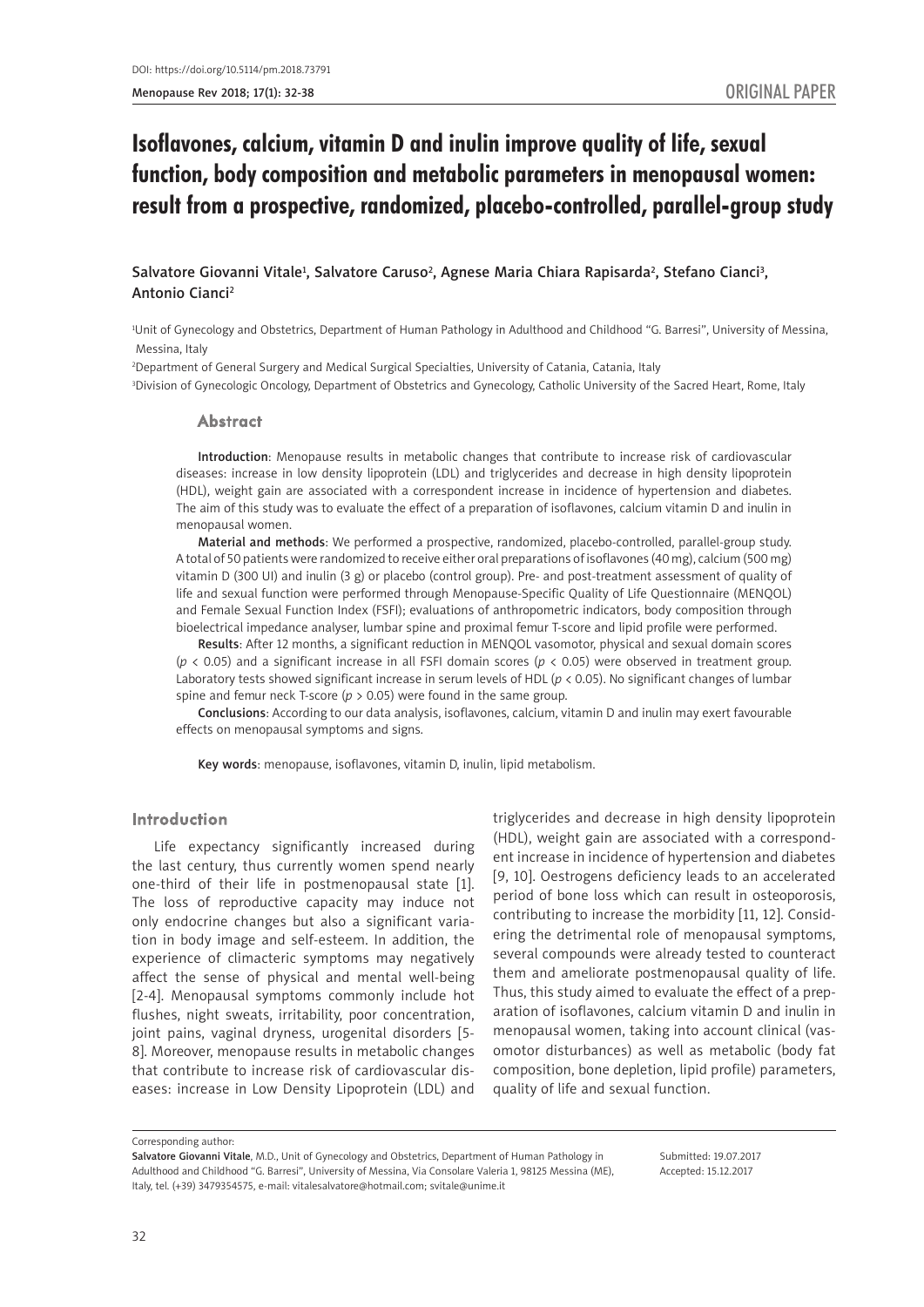# Isoflavones, calcium, vitamin D and inulin improve quality of life, sexual function, body composition and metabolic parameters in menopausal women: result from a prospective, randomized, placebo-controlled, parallel-group study

### Salvatore Giovanni Vitale<sup>1</sup>, Salvatore Caruso<sup>2</sup>, Agnese Maria Chiara Rapisarda<sup>2</sup>, Stefano Cianci<sup>3</sup>, Antonio Cianci2

1 Unit of Gynecology and Obstetrics, Department of Human Pathology in Adulthood and Childhood "G. Barresi", University of Messina, Messina, Italy

2 Department of General Surgery and Medical Surgical Specialties, University of Catania, Catania, Italy 3 Division of Gynecologic Oncology, Department of Obstetrics and Gynecology, Catholic University of the Sacred Heart, Rome, Italy

#### Abstract

Introduction: Menopause results in metabolic changes that contribute to increase risk of cardiovascular diseases: increase in low density lipoprotein (LDL) and triglycerides and decrease in high density lipoprotein (HDL), weight gain are associated with a correspondent increase in incidence of hypertension and diabetes. The aim of this study was to evaluate the effect of a preparation of isoflavones, calcium vitamin D and inulin in menopausal women.

Material and methods: We performed a prospective, randomized, placebo-controlled, parallel-group study. A total of 50 patients were randomized to receive either oral preparations of isoflavones (40 mg), calcium (500 mg) vitamin D (300 UI) and inulin (3 g) or placebo (control group). Pre- and post-treatment assessment of quality of life and sexual function were performed through Menopause-Specific Quality of Life Questionnaire (MENQOL) and Female Sexual Function Index (FSFI); evaluations of anthropometric indicators, body composition through bioelectrical impedance analyser, lumbar spine and proximal femur T-score and lipid profile were performed.

Results: After 12 months, a significant reduction in MENQOL vasomotor, physical and sexual domain scores (*p* < 0.05) and a significant increase in all FSFI domain scores (*p* < 0.05) were observed in treatment group. Laboratory tests showed significant increase in serum levels of HDL (*p* < 0.05). No significant changes of lumbar spine and femur neck T-score ( $p > 0.05$ ) were found in the same group.

Conclusions: According to our data analysis, isoflavones, calcium, vitamin D and inulin may exert favourable effects on menopausal symptoms and signs.

Key words: menopause, isoflavones, vitamin D, inulin, lipid metabolism.

#### Introduction

Life expectancy significantly increased during the last century, thus currently women spend nearly one-third of their life in postmenopausal state [1]. The loss of reproductive capacity may induce not only endocrine changes but also a significant variation in body image and self-esteem. In addition, the experience of climacteric symptoms may negatively affect the sense of physical and mental well-being [2-4]. Menopausal symptoms commonly include hot flushes, night sweats, irritability, poor concentration, joint pains, vaginal dryness, urogenital disorders [5- 8]. Moreover, menopause results in metabolic changes that contribute to increase risk of cardiovascular diseases: increase in Low Density Lipoprotein (LDL) and

triglycerides and decrease in high density lipoprotein (HDL), weight gain are associated with a correspondent increase in incidence of hypertension and diabetes [9, 10]. Oestrogens deficiency leads to an accelerated period of bone loss which can result in osteoporosis, contributing to increase the morbidity [11, 12]. Considering the detrimental role of menopausal symptoms, several compounds were already tested to counteract them and ameliorate postmenopausal quality of life. Thus, this study aimed to evaluate the effect of a preparation of isoflavones, calcium vitamin D and inulin in menopausal women, taking into account clinical (vasomotor disturbances) as well as metabolic (body fat composition, bone depletion, lipid profile) parameters, quality of life and sexual function.

Corresponding author:

Submitted: 19.07.2017 Accepted: 15.12.2017

Salvatore Giovanni Vitale, M.D., Unit of Gynecology and Obstetrics, Department of Human Pathology in Adulthood and Childhood "G. Barresi", University of Messina, Via Consolare Valeria 1, 98125 Messina (ME), Italy, tel. (+39) 3479354575, e-mail: vitalesalvatore@hotmail.com; svitale@unime.it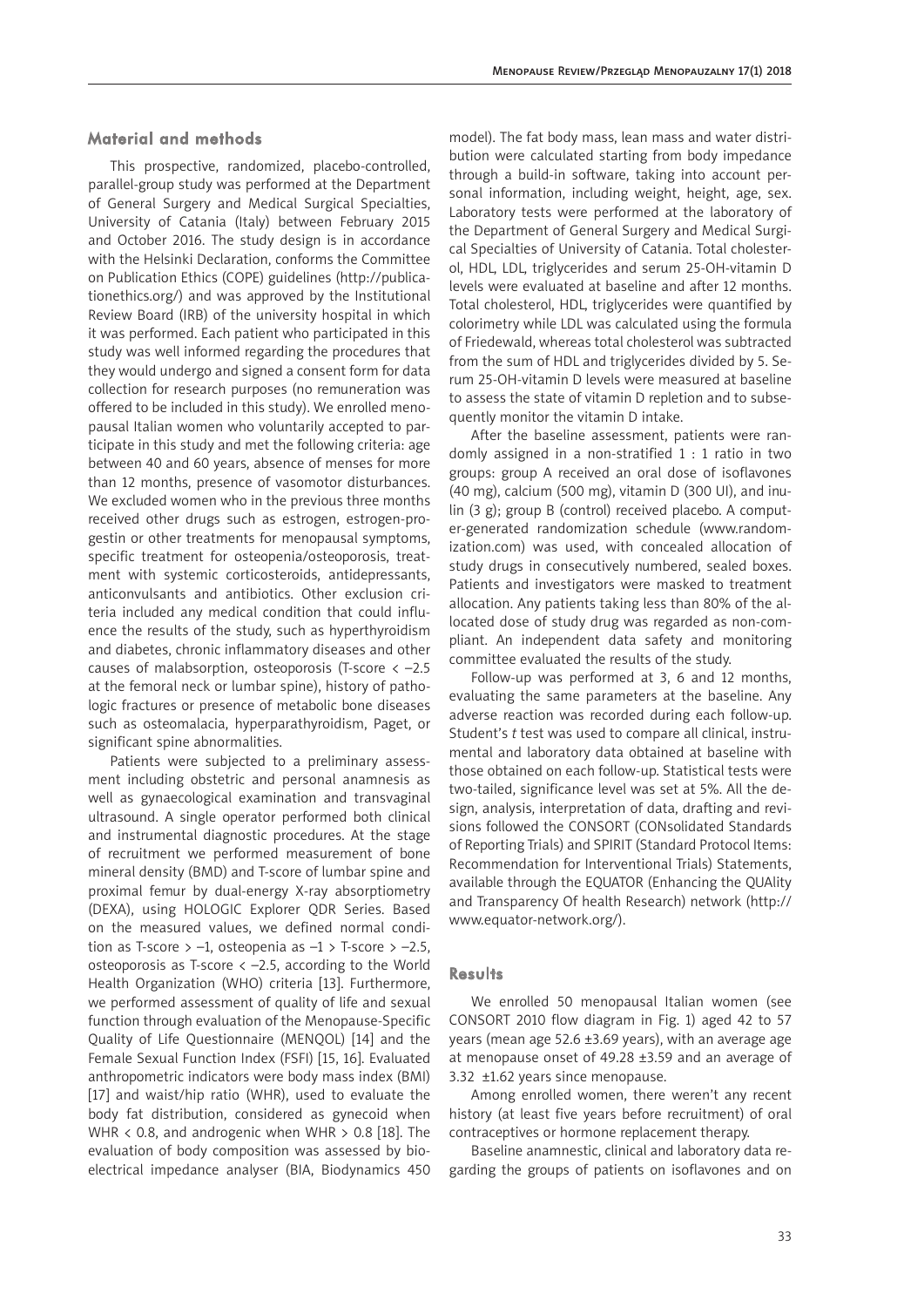#### Material and methods

This prospective, randomized, placebo-controlled, parallel-group study was performed at the Department of General Surgery and Medical Surgical Specialties, University of Catania (Italy) between February 2015 and October 2016. The study design is in accordance with the Helsinki Declaration, conforms the Committee on Publication Ethics (COPE) guidelines (http://publicationethics.org/) and was approved by the Institutional Review Board (IRB) of the university hospital in which it was performed. Each patient who participated in this study was well informed regarding the procedures that they would undergo and signed a consent form for data collection for research purposes (no remuneration was offered to be included in this study). We enrolled menopausal Italian women who voluntarily accepted to participate in this study and met the following criteria: age between 40 and 60 years, absence of menses for more than 12 months, presence of vasomotor disturbances. We excluded women who in the previous three months received other drugs such as estrogen, estrogen-progestin or other treatments for menopausal symptoms, specific treatment for osteopenia/osteoporosis, treatment with systemic corticosteroids, antidepressants, anticonvulsants and antibiotics. Other exclusion criteria included any medical condition that could influence the results of the study, such as hyperthyroidism and diabetes, chronic inflammatory diseases and other causes of malabsorption, osteoporosis (T-score < –2.5 at the femoral neck or lumbar spine), history of pathologic fractures or presence of metabolic bone diseases such as osteomalacia, hyperparathyroidism, Paget, or significant spine abnormalities.

Patients were subjected to a preliminary assessment including obstetric and personal anamnesis as well as gynaecological examination and transvaginal ultrasound. A single operator performed both clinical and instrumental diagnostic procedures. At the stage of recruitment we performed measurement of bone mineral density (BMD) and T-score of lumbar spine and proximal femur by dual-energy X-ray absorptiometry (DEXA), using HOLOGIC Explorer QDR Series. Based on the measured values, we defined normal condition as T-score > -1, osteopenia as  $-1$  > T-score > -2.5, osteoporosis as T-score  $\langle -2.5, \text{according to the World} \rangle$ Health Organization (WHO) criteria [13]. Furthermore, we performed assessment of quality of life and sexual function through evaluation of the Menopause-Specific Quality of Life Questionnaire (MENQOL) [14] and the Female Sexual Function Index (FSFI) [15, 16]. Evaluated anthropometric indicators were body mass index (BMI) [17] and waist/hip ratio (WHR), used to evaluate the body fat distribution, considered as gynecoid when WHR < 0*.*8, and androgenic when WHR > 0*.*8 [18]. The evaluation of body composition was assessed by bioelectrical impedance analyser (BIA, Biodynamics 450 model). The fat body mass, lean mass and water distribution were calculated starting from body impedance through a build-in software, taking into account personal information, including weight, height, age, sex. Laboratory tests were performed at the laboratory of the Department of General Surgery and Medical Surgical Specialties of University of Catania. Total cholesterol, HDL, LDL, triglycerides and serum 25-OH-vitamin D levels were evaluated at baseline and after 12 months. Total cholesterol, HDL, triglycerides were quantified by colorimetry while LDL was calculated using the formula of Friedewald, whereas total cholesterol was subtracted from the sum of HDL and triglycerides divided by 5. Serum 25-OH-vitamin D levels were measured at baseline to assess the state of vitamin D repletion and to subsequently monitor the vitamin D intake.

After the baseline assessment, patients were randomly assigned in a non-stratified 1 : 1 ratio in two groups: group A received an oral dose of isoflavones (40 mg), calcium (500 mg), vitamin D (300 UI), and inulin (3 g); group B (control) received placebo. A computer-generated randomization schedule (www.randomization.com) was used, with concealed allocation of study drugs in consecutively numbered, sealed boxes. Patients and investigators were masked to treatment allocation. Any patients taking less than 80% of the allocated dose of study drug was regarded as non-compliant. An independent data safety and monitoring committee evaluated the results of the study.

Follow-up was performed at 3, 6 and 12 months, evaluating the same parameters at the baseline. Any adverse reaction was recorded during each follow-up. Student's *t* test was used to compare all clinical, instrumental and laboratory data obtained at baseline with those obtained on each follow-up. Statistical tests were two-tailed, significance level was set at 5%. All the design, analysis, interpretation of data, drafting and revisions followed the CONSORT (CONsolidated Standards of Reporting Trials) and SPIRIT (Standard Protocol Items: Recommendation for Interventional Trials) Statements, available through the EQUATOR (Enhancing the QUAlity and Transparency Of health Research) network (http:// www.equator-network.org/).

#### **Results**

We enrolled 50 menopausal Italian women (see CONSORT 2010 flow diagram in Fig. 1) aged 42 to 57 years (mean age 52.6  $\pm$ 3.69 years), with an average age at menopause onset of 49.28 ±3.59 and an average of 3.32 ±1.62 years since menopause.

Among enrolled women, there weren't any recent history (at least five years before recruitment) of oral contraceptives or hormone replacement therapy.

Baseline anamnestic, clinical and laboratory data regarding the groups of patients on isoflavones and on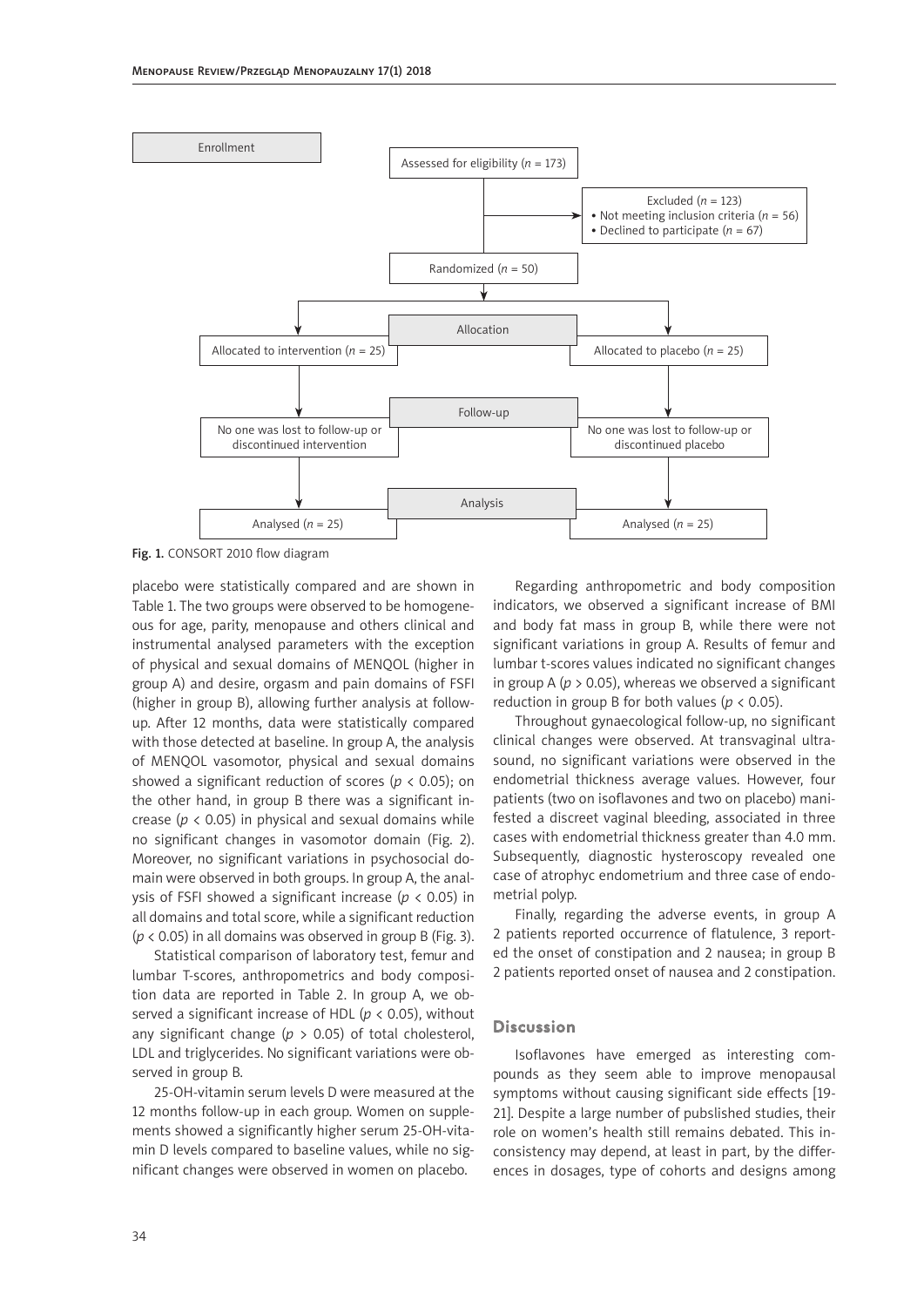

Fig. 1. CONSORT 2010 flow diagram

placebo were statistically compared and are shown in Table 1. The two groups were observed to be homogeneous for age, parity, menopause and others clinical and instrumental analysed parameters with the exception of physical and sexual domains of MENQOL (higher in group A) and desire, orgasm and pain domains of FSFI (higher in group B), allowing further analysis at followup. After 12 months, data were statistically compared with those detected at baseline. In group A, the analysis of MENQOL vasomotor, physical and sexual domains showed a significant reduction of scores ( $p < 0.05$ ); on the other hand, in group B there was a significant increase ( $p$  < 0.05) in physical and sexual domains while no significant changes in vasomotor domain (Fig. 2). Moreover, no significant variations in psychosocial domain were observed in both groups. In group A, the analysis of FSFI showed a significant increase (*p* < 0.05) in all domains and total score, while a significant reduction (*p* < 0.05) in all domains was observed in group B (Fig. 3).

Statistical comparison of laboratory test, femur and lumbar T-scores, anthropometrics and body composition data are reported in Table 2. In group A, we observed a significant increase of HDL (*p* < 0.05), without any significant change ( $p > 0.05$ ) of total cholesterol, LDL and triglycerides. No significant variations were observed in group B.

25-OH-vitamin serum levels D were measured at the 12 months follow-up in each group. Women on supplements showed a significantly higher serum 25-OH-vitamin D levels compared to baseline values, while no significant changes were observed in women on placebo.

Regarding anthropometric and body composition indicators, we observed a significant increase of BMI and body fat mass in group B, while there were not significant variations in group A. Results of femur and lumbar t-scores values indicated no significant changes in group A (*p* > 0.05), whereas we observed a significant reduction in group B for both values ( $p < 0.05$ ).

Throughout gynaecological follow-up, no significant clinical changes were observed. At transvaginal ultrasound, no significant variations were observed in the endometrial thickness average values. However, four patients (two on isoflavones and two on placebo) manifested a discreet vaginal bleeding, associated in three cases with endometrial thickness greater than 4.0 mm. Subsequently, diagnostic hysteroscopy revealed one case of atrophyc endometrium and three case of endometrial polyp.

Finally, regarding the adverse events, in group A 2 patients reported occurrence of flatulence, 3 reported the onset of constipation and 2 nausea; in group B 2 patients reported onset of nausea and 2 constipation.

#### Discussion

Isoflavones have emerged as interesting compounds as they seem able to improve menopausal symptoms without causing significant side effects [19- 21]. Despite a large number of pubslished studies, their role on women's health still remains debated. This inconsistency may depend, at least in part, by the differences in dosages, type of cohorts and designs among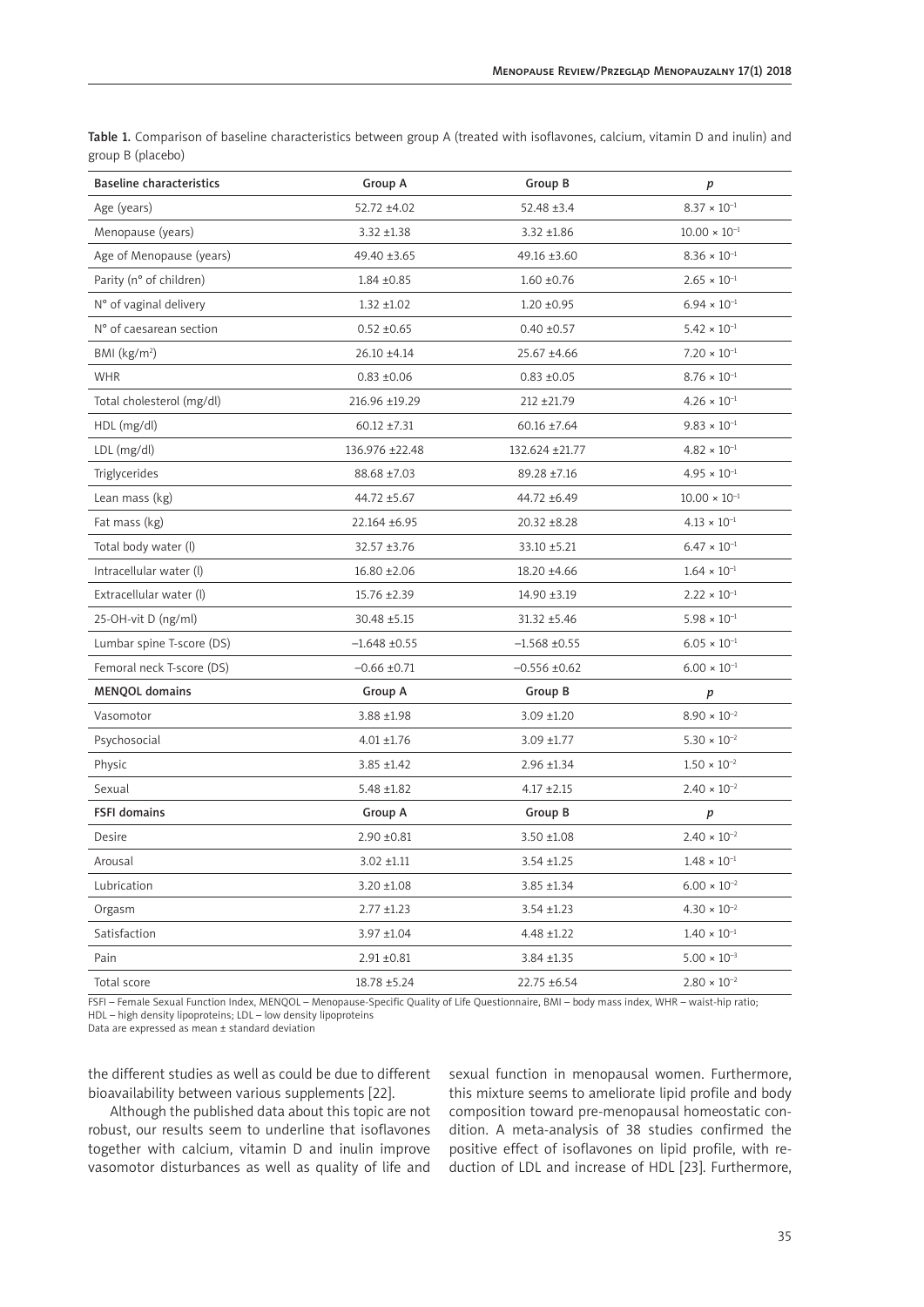| <b>Baseline characteristics</b> | Group A          | <b>Group B</b>    | p                           |  |
|---------------------------------|------------------|-------------------|-----------------------------|--|
| Age (years)                     | 52.72 ±4.02      | $52.48 \pm 3.4$   | $8.37 \times 10^{-1}$       |  |
| Menopause (years)               | $3.32 + 1.38$    | $3.32 + 1.86$     | $10.00 \times 10^{-1}$      |  |
| Age of Menopause (years)        | 49.40 ±3.65      | 49.16 ±3.60       | $8.36\times10^{-1}$         |  |
| Parity (n° of children)         | $1.84 \pm 0.85$  | $1.60 \pm 0.76$   | $2.65 \times 10^{-1}$       |  |
| N° of vaginal delivery          | $1.32 + 1.02$    | $1.20 \pm 0.95$   | $6.94 \times 10^{-1}$       |  |
| N° of caesarean section         | $0.52 \pm 0.65$  | $0.40 \pm 0.57$   | $5.42 \times 10^{-1}$       |  |
| BMI (kg/m <sup>2</sup> )        | 26.10 ±4.14      | 25.67 ±4.66       | $7.20 \times 10^{-1}$       |  |
| <b>WHR</b>                      | $0.83 + 0.06$    | $0.83 + 0.05$     | $8.76 \times 10^{-1}$       |  |
| Total cholesterol (mg/dl)       | 216.96 ±19.29    | 212 ±21.79        | $4.26 \times 10^{-1}$       |  |
| HDL (mg/dl)                     | $60.12 \pm 7.31$ | $60.16 \pm 7.64$  | $9.83 \times 10^{-1}$       |  |
| LDL (mg/dl)                     | 136.976 ±22.48   | 132.624 ±21.77    | $4.82 \times 10^{-1}$       |  |
| Triglycerides                   | 88.68 ±7.03      | 89.28 ±7.16       | $4.95 \times 10^{-1}$       |  |
| Lean mass (kg)                  | 44.72 ±5.67      | 44.72 ±6.49       | $10.00\times10^{\text{-}1}$ |  |
| Fat mass (kg)                   | 22.164 ±6.95     | 20.32 ±8.28       | $4.13 \times 10^{-1}$       |  |
| Total body water (l)            | 32.57 ±3.76      | 33.10 ±5.21       | $6.47 \times 10^{-1}$       |  |
| Intracellular water (l)         | $16.80 + 2.06$   | 18.20 ±4.66       | $1.64 \times 10^{-1}$       |  |
| Extracellular water (l)         | 15.76 ±2.39      | 14.90 ±3.19       | $2.22 \times 10^{-1}$       |  |
| 25-OH-vit D (ng/ml)             | 30.48 ±5.15      | $31.32 + 5.46$    | $5.98 \times 10^{-1}$       |  |
| Lumbar spine T-score (DS)       | $-1.648 + 0.55$  | $-1.568 + 0.55$   | $6.05 \times 10^{-1}$       |  |
| Femoral neck T-score (DS)       | $-0.66 \pm 0.71$ | $-0.556 \pm 0.62$ | $6.00 \times 10^{-1}$       |  |
| <b>MENQOL</b> domains           | Group A          | Group B           | p                           |  |
| Vasomotor                       | 3.88 ±1.98       | $3.09 + 1.20$     | $8.90 \times 10^{-2}$       |  |
| Psychosocial                    | $4.01 \pm 1.76$  | 3.09 ±1.77        | $5.30 \times 10^{-2}$       |  |
| Physic                          | $3.85 + 1.42$    | $2.96 \pm 1.34$   | $1.50\times10^{-2}$         |  |
| Sexual                          | $5.48 \pm 1.82$  | $4.17 \pm 2.15$   | $2.40 \times 10^{-2}$       |  |
| <b>FSFI</b> domains             | Group A          | <b>Group B</b>    | p                           |  |
| Desire                          | $2.90 \pm 0.81$  | $3.50 \pm 1.08$   | $2.40 \times 10^{-2}$       |  |
| Arousal                         | $3.02 + 1.11$    | $3.54 \pm 1.25$   | $1.48 \times 10^{-1}$       |  |
| Lubrication                     | 3.20 ±1.08       | $3.85 + 1.34$     | $6.00 \times 10^{-2}$       |  |
| Orgasm                          | $2.77 \pm 1.23$  | $3.54 \pm 1.23$   | $4.30 \times 10^{-2}$       |  |
| Satisfaction                    | 3.97 ±1.04       | $4.48 \pm 1.22$   | $1.40 \times 10^{-1}$       |  |
| Pain                            | $2.91 \pm 0.81$  | $3.84 \pm 1.35$   | $5.00 \times 10^{-3}$       |  |
| Total score                     | 18.78 ±5.24      | 22.75 ±6.54       | $2.80\times10^{-2}$         |  |

Table 1. Comparison of baseline characteristics between group A (treated with isoflavones, calcium, vitamin D and inulin) and group B (placebo)

FSFI – Female Sexual Function Index, MENQOL – Menopause-Specific Quality of Life Questionnaire, BMI – body mass index, WHR – waist-hip ratio; HDL – high density lipoproteins; LDL – low density lipoproteins

Data are expressed as mean ± standard deviation

the different studies as well as could be due to different bioavailability between various supplements [22].

Although the published data about this topic are not robust, our results seem to underline that isoflavones together with calcium, vitamin D and inulin improve vasomotor disturbances as well as quality of life and

sexual function in menopausal women. Furthermore, this mixture seems to ameliorate lipid profile and body composition toward pre-menopausal homeostatic condition. A meta-analysis of 38 studies confirmed the positive effect of isoflavones on lipid profile, with reduction of LDL and increase of HDL [23]. Furthermore,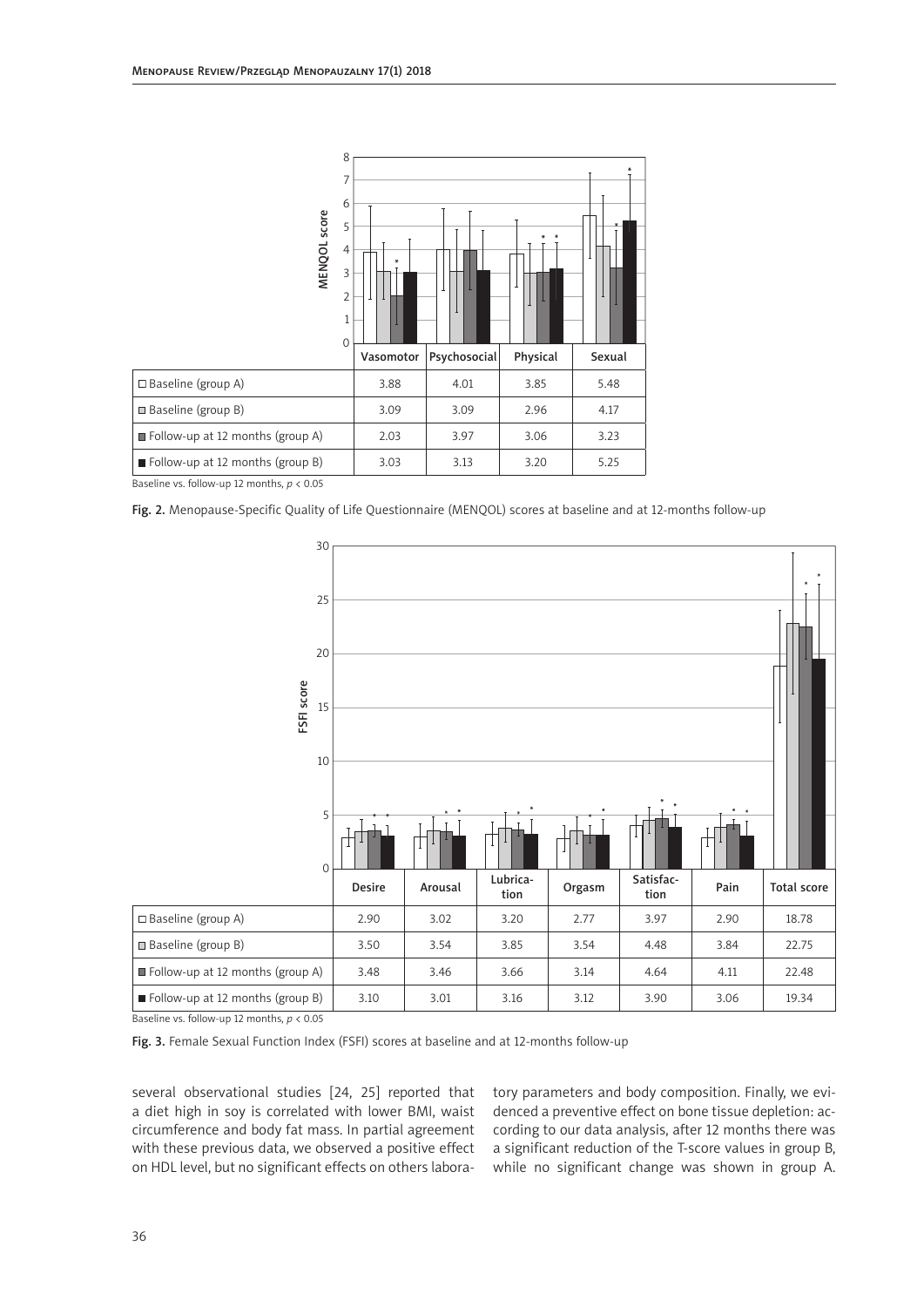

Baseline vs. follow-up 12 months, *p* < 0.05

Fig. 2. Menopause-Specific Quality of Life Questionnaire (MENQOL) scores at baseline and at 12-months follow-up



Baseline vs. follow-up 12 months, *p* < 0.05

Fig. 3. Female Sexual Function Index (FSFI) scores at baseline and at 12-months follow-up

several observational studies [24, 25] reported that a diet high in soy is correlated with lower BMI, waist circumference and body fat mass. In partial agreement with these previous data, we observed a positive effect on HDL level, but no significant effects on others laboratory parameters and body composition. Finally, we evidenced a preventive effect on bone tissue depletion: according to our data analysis, after 12 months there was a significant reduction of the T-score values in group B, while no significant change was shown in group A.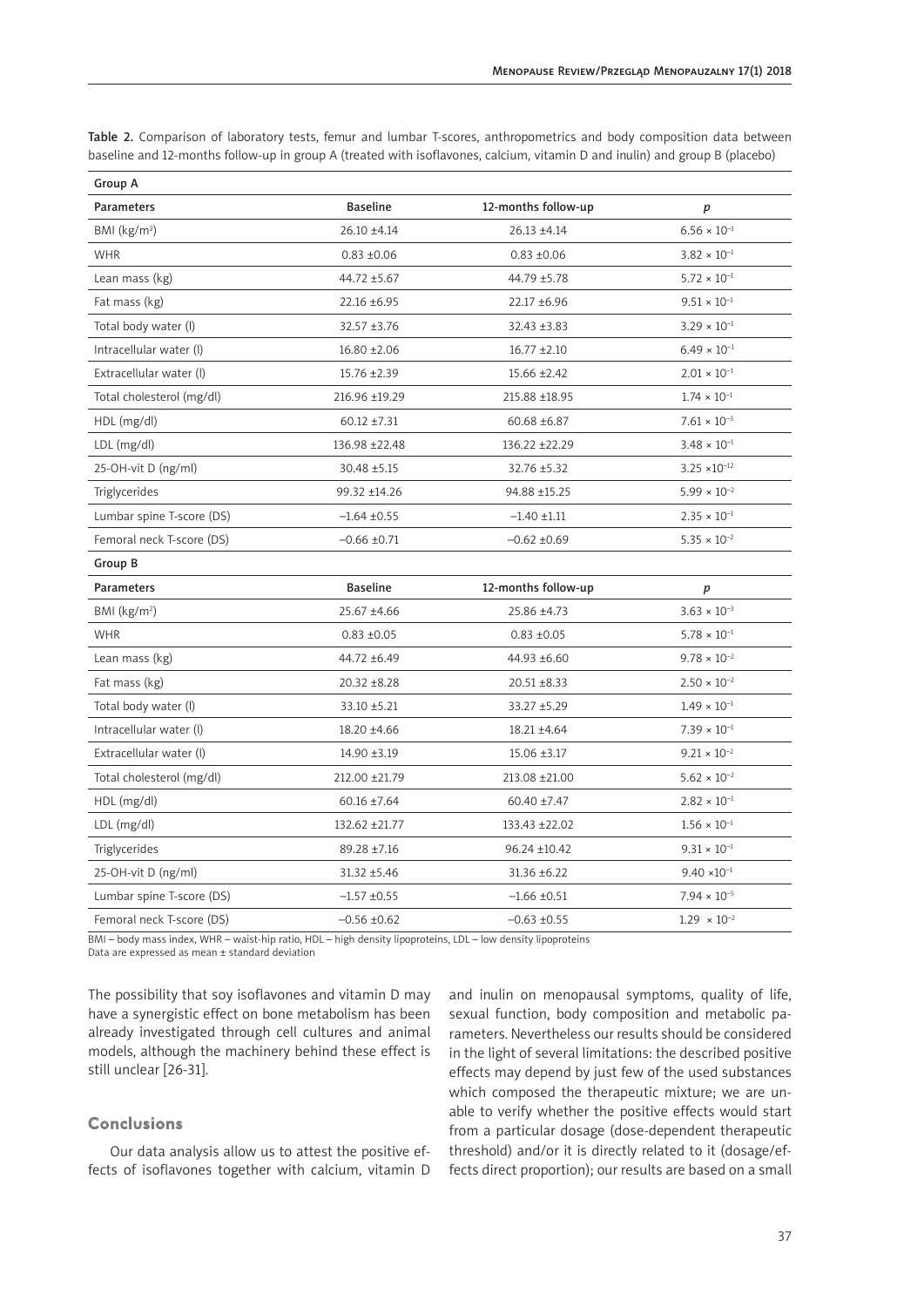|  |  |  | Table 2. Comparison of laboratory tests, femur and lumbar T-scores, anthropometrics and body composition data between       |  |  |
|--|--|--|-----------------------------------------------------------------------------------------------------------------------------|--|--|
|  |  |  | baseline and 12-months follow-up in group A (treated with isoflavones, calcium, vitamin D and inulin) and group B (placebo) |  |  |

| Group A                   |                  |                     |                        |  |  |
|---------------------------|------------------|---------------------|------------------------|--|--|
| Parameters                | <b>Baseline</b>  | 12-months follow-up | p                      |  |  |
| BMI $(kg/m2)$             | $26.10 \pm 4.14$ | 26.13 ±4.14         | $6.56 \times 10^{-1}$  |  |  |
| <b>WHR</b>                | $0.83 + 0.06$    | $0.83 + 0.06$       | $3.82 \times 10^{-1}$  |  |  |
| Lean mass (kg)            | 44.72 ±5.67      | 44.79 ±5.78         | $5.72 \times 10^{-1}$  |  |  |
| Fat mass (kg)             | $22.16 \pm 6.95$ | 22.17 ±6.96         | $9.51 \times 10^{-1}$  |  |  |
| Total body water (I)      | $32.57 + 3.76$   | 32.43 ±3.83         | $3.29 \times 10^{-1}$  |  |  |
| Intracellular water (l)   | $16.80 \pm 2.06$ | $16.77 \pm 2.10$    | $6.49 \times 10^{-1}$  |  |  |
| Extracellular water (l)   | 15.76 ±2.39      | $15.66 \pm 2.42$    | $2.01 \times 10^{-1}$  |  |  |
| Total cholesterol (mg/dl) | 216.96 ±19.29    | 215.88 ±18.95       | $1.74 \times 10^{-1}$  |  |  |
| HDL (mg/dl)               | $60.12 \pm 7.31$ | $60.68 \pm 6.87$    | $7.61 \times 10^{-3}$  |  |  |
| $LDL$ (mg/dl)             | 136.98 ±22.48    | 136.22 ±22.29       | $3.48 \times 10^{-1}$  |  |  |
| 25-OH-vit D (ng/ml)       | 30.48 ±5.15      | 32.76 ±5.32         | $3.25 \times 10^{-12}$ |  |  |
| Triglycerides             | 99.32 ±14.26     | 94.88 ±15.25        | $5.99 \times 10^{-2}$  |  |  |
| Lumbar spine T-score (DS) | $-1.64 \pm 0.55$ | $-1.40 \pm 1.11$    | $2.35 \times 10^{-1}$  |  |  |
| Femoral neck T-score (DS) | $-0.66 \pm 0.71$ | $-0.62 \pm 0.69$    | $5.35 \times 10^{-2}$  |  |  |
| Group B                   |                  |                     |                        |  |  |
| <b>Parameters</b>         | <b>Baseline</b>  | 12-months follow-up | $\boldsymbol{p}$       |  |  |
| BMI (kg/m <sup>2</sup> )  | 25.67 ±4.66      | 25.86 ±4.73         | $3.63 \times 10^{-3}$  |  |  |
| <b>WHR</b>                | $0.83 + 0.05$    | $0.83 + 0.05$       | $5.78 \times 10^{-1}$  |  |  |
| Lean mass (kg)            | 44.72 ±6.49      | 44.93 ±6.60         | $9.78\times10^{-2}$    |  |  |
| Fat mass (kg)             | $20.32 \pm 8.28$ | $20.51 \pm 8.33$    | $2.50 \times 10^{-2}$  |  |  |
| Total body water (l)      | 33.10 ±5.21      | 33.27 ±5.29         | $1.49 \times 10^{-1}$  |  |  |
| Intracellular water (l)   | 18.20 ±4.66      | 18.21 ±4.64         | $7.39 \times 10^{-1}$  |  |  |
| Extracellular water (l)   | 14.90 ±3.19      | 15.06 ±3.17         | $9.21 \times 10^{-2}$  |  |  |
| Total cholesterol (mg/dl) | 212.00 ±21.79    | 213.08 ±21.00       | $5.62 \times 10^{-2}$  |  |  |
| HDL (mg/dl)               | $60.16 \pm 7.64$ | $60.40 \pm 7.47$    | $2.82 \times 10^{-1}$  |  |  |
| $LDL$ (mg/dl)             | 132.62 ±21.77    | 133.43 ±22.02       | $1.56 \times 10^{-1}$  |  |  |
| Triglycerides             | 89.28 ±7.16      | 96.24 ±10.42        | $9.31 \times 10^{-1}$  |  |  |
| 25-OH-vit D (ng/ml)       | $31.32 + 5.46$   | $31.36 \pm 6.22$    | $9.40 \times 10^{-1}$  |  |  |
| Lumbar spine T-score (DS) | $-1.57 + 0.55$   | $-1.66 \pm 0.51$    | $7.94\times10^{-5}$    |  |  |
| Femoral neck T-score (DS) | $-0.56 \pm 0.62$ | $-0.63 \pm 0.55$    | $1.29 \times 10^{-2}$  |  |  |

BMI – body mass index, WHR – waist-hip ratio, HDL – high density lipoproteins, LDL – low density lipoproteins

Data are expressed as mean ± standard deviation

The possibility that soy isoflavones and vitamin D may have a synergistic effect on bone metabolism has been already investigated through cell cultures and animal models, although the machinery behind these effect is still unclear [26-31].

## Conclusions

Our data analysis allow us to attest the positive effects of isoflavones together with calcium, vitamin D and inulin on menopausal symptoms, quality of life, sexual function, body composition and metabolic parameters. Nevertheless our results should be considered in the light of several limitations: the described positive effects may depend by just few of the used substances which composed the therapeutic mixture; we are unable to verify whether the positive effects would start from a particular dosage (dose-dependent therapeutic threshold) and/or it is directly related to it (dosage/effects direct proportion); our results are based on a small